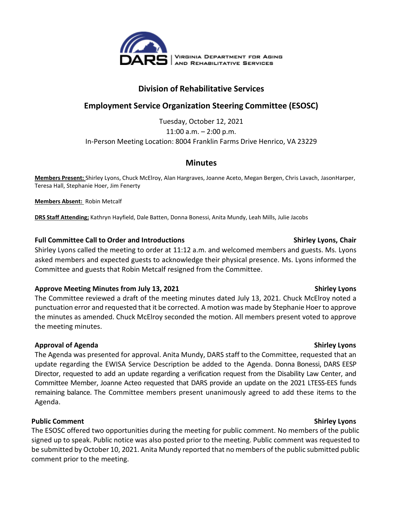

## **Division of Rehabilitative Services**

# **Employment Service Organization Steering Committee (ESOSC)**

Tuesday, October 12, 2021 11:00 a.m. – 2:00 p.m. In-Person Meeting Location: 8004 Franklin Farms Drive Henrico, VA 23229

### **Minutes**

**Members Present:** Shirley Lyons, Chuck McElroy, Alan Hargraves, Joanne Aceto, Megan Bergen, Chris Lavach, JasonHarper, Teresa Hall, Stephanie Hoer, Jim Fenerty

**Members Absent:** Robin Metcalf

**DRS Staff Attending;** Kathryn Hayfield, Dale Batten, Donna Bonessi, Anita Mundy, Leah Mills, Julie Jacobs

### **Full Committee Call to Order and Introductions Shirley Lyons, Chair**

Shirley Lyons called the meeting to order at 11:12 a.m. and welcomed members and guests. Ms. Lyons asked members and expected guests to acknowledge their physical presence. Ms. Lyons informed the Committee and guests that Robin Metcalf resigned from the Committee.

### **Approve Meeting Minutes from July 13, 2021 Shirley Lyons**

The Committee reviewed a draft of the meeting minutes dated July 13, 2021. Chuck McElroy noted a punctuation error and requested that it be corrected. A motion was made by Stephanie Hoer to approve the minutes as amended. Chuck McElroy seconded the motion. All members present voted to approve the meeting minutes.

### **Approval of Agenda Shirley Lyons**

The Agenda was presented for approval. Anita Mundy, DARS staff to the Committee, requested that an update regarding the EWISA Service Description be added to the Agenda. Donna Bonessi, DARS EESP Director, requested to add an update regarding a verification request from the Disability Law Center, and Committee Member, Joanne Acteo requested that DARS provide an update on the 2021 LTESS-EES funds remaining balance. The Committee members present unanimously agreed to add these items to the Agenda.

### **Public Comment Shirley Lyons**

The ESOSC offered two opportunities during the meeting for public comment. No members of the public signed up to speak. Public notice was also posted prior to the meeting. Public comment was requested to be submitted by October 10, 2021. Anita Mundy reported that no members of the public submitted public comment prior to the meeting.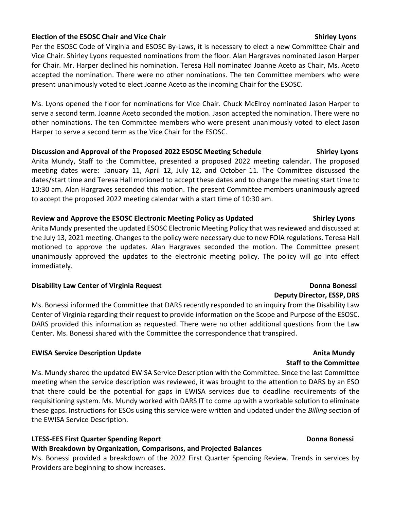### **Election of the ESOSC Chair and Vice Chair Shirley Lyons Shirley Lyons** Shirley Lyons

Per the ESOSC Code of Virginia and ESOSC By-Laws, it is necessary to elect a new Committee Chair and Vice Chair. Shirley Lyons requested nominations from the floor. Alan Hargraves nominated Jason Harper for Chair. Mr. Harper declined his nomination. Teresa Hall nominated Joanne Aceto as Chair, Ms. Aceto accepted the nomination. There were no other nominations. The ten Committee members who were present unanimously voted to elect Joanne Aceto as the incoming Chair for the ESOSC.

Ms. Lyons opened the floor for nominations for Vice Chair. Chuck McElroy nominated Jason Harper to serve a second term. Joanne Aceto seconded the motion. Jason accepted the nomination. There were no other nominations. The ten Committee members who were present unanimously voted to elect Jason Harper to serve a second term as the Vice Chair for the ESOSC.

### **Discussion and Approval of the Proposed 2022 ESOSC Meeting Schedule Shirley Lyons**

Anita Mundy, Staff to the Committee, presented a proposed 2022 meeting calendar. The proposed meeting dates were: January 11, April 12, July 12, and October 11. The Committee discussed the dates/start time and Teresa Hall motioned to accept these dates and to change the meeting start time to 10:30 am. Alan Hargraves seconded this motion. The present Committee members unanimously agreed to accept the proposed 2022 meeting calendar with a start time of 10:30 am.

### Review and Approve the ESOSC Electronic Meeting Policy as Updated **Shirley Lyons**

Anita Mundy presented the updated ESOSC Electronic Meeting Policy that was reviewed and discussed at the July 13, 2021 meeting. Changes to the policy were necessary due to new FOIA regulations. Teresa Hall motioned to approve the updates. Alan Hargraves seconded the motion. The Committee present unanimously approved the updates to the electronic meeting policy. The policy will go into effect immediately.

### **Disability Law Center of Virginia Request Donna Bonessi**

Ms. Bonessi informed the Committee that DARS recently responded to an inquiry from the Disability Law Center of Virginia regarding their request to provide information on the Scope and Purpose of the ESOSC. DARS provided this information as requested. There were no other additional questions from the Law Center. Ms. Bonessi shared with the Committee the correspondence that transpired.

### **EWISA Service Description Update Anita Mundy Service Service Service Anita Mundy**

Ms. Mundy shared the updated EWISA Service Description with the Committee. Since the last Committee meeting when the service description was reviewed, it was brought to the attention to DARS by an ESO that there could be the potential for gaps in EWISA services due to deadline requirements of the requisitioning system. Ms. Mundy worked with DARS IT to come up with a workable solution to eliminate these gaps. Instructions for ESOs using this service were written and updated under the *Billing* section of the EWISA Service Description.

### **LTESS-EES First Quarter Spending Report Donna Bonessi**

### **With Breakdown by Organization, Comparisons, and Projected Balances**

Ms. Bonessi provided a breakdown of the 2022 First Quarter Spending Review. Trends in services by Providers are beginning to show increases.

# **Deputy Director, ESSP, DRS**

### **Staff to the Committee**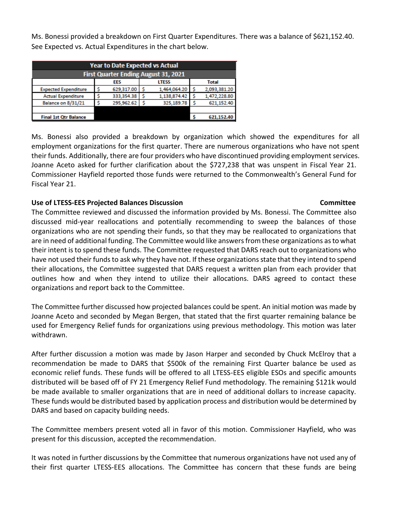Ms. Bonessi provided a breakdown on First Quarter Expenditures. There was a balance of \$621,152.40. See Expected vs. Actual Expenditures in the chart below.

| <b>Year to Date Expected vs Actual</b>      |  |                     |   |              |  |              |
|---------------------------------------------|--|---------------------|---|--------------|--|--------------|
| <b>First Quarter Ending August 31, 2021</b> |  |                     |   |              |  |              |
|                                             |  | EES<br><b>LTESS</b> |   | Total        |  |              |
| <b>Expected Expenditure</b>                 |  | 629,317.00          |   | 1.464.064.20 |  | 2,093,381.20 |
| <b>Actual Expenditure</b>                   |  | 333,354.38          |   | 1,138,874.42 |  | 1,472,228.80 |
| <b>Balance on 8/31/21</b>                   |  | 295,962.62          | ς | 325,189.78   |  | 621.152.40   |
|                                             |  |                     |   |              |  |              |
| <b>Final 1st Qtr Balance</b>                |  |                     |   |              |  | 621,152,40   |

Ms. Bonessi also provided a breakdown by organization which showed the expenditures for all employment organizations for the first quarter. There are numerous organizations who have not spent their funds. Additionally, there are four providers who have discontinued providing employment services. Joanne Aceto asked for further clarification about the \$727,238 that was unspent in Fiscal Year 21. Commissioner Hayfield reported those funds were returned to the Commonwealth's General Fund for Fiscal Year 21.

### **Use of LTESS-EES Projected Balances Discussion****Committee**

### The Committee reviewed and discussed the information provided by Ms. Bonessi. The Committee also discussed mid-year reallocations and potentially recommending to sweep the balances of those organizations who are not spending their funds, so that they may be reallocated to organizations that are in need of additional funding. The Committee would like answers from these organizations as to what their intent is to spend these funds. The Committee requested that DARS reach out to organizations who have not used their funds to ask why they have not. If these organizations state that they intend to spend their allocations, the Committee suggested that DARS request a written plan from each provider that outlines how and when they intend to utilize their allocations. DARS agreed to contact these organizations and report back to the Committee.

The Committee further discussed how projected balances could be spent. An initial motion was made by Joanne Aceto and seconded by Megan Bergen, that stated that the first quarter remaining balance be used for Emergency Relief funds for organizations using previous methodology. This motion was later withdrawn.

After further discussion a motion was made by Jason Harper and seconded by Chuck McElroy that a recommendation be made to DARS that \$500k of the remaining First Quarter balance be used as economic relief funds. These funds will be offered to all LTESS-EES eligible ESOs and specific amounts distributed will be based off of FY 21 Emergency Relief Fund methodology. The remaining \$121k would be made available to smaller organizations that are in need of additional dollars to increase capacity. These funds would be distributed based by application process and distribution would be determined by DARS and based on capacity building needs.

The Committee members present voted all in favor of this motion. Commissioner Hayfield, who was present for this discussion, accepted the recommendation.

It was noted in further discussions by the Committee that numerous organizations have not used any of their first quarter LTESS-EES allocations. The Committee has concern that these funds are being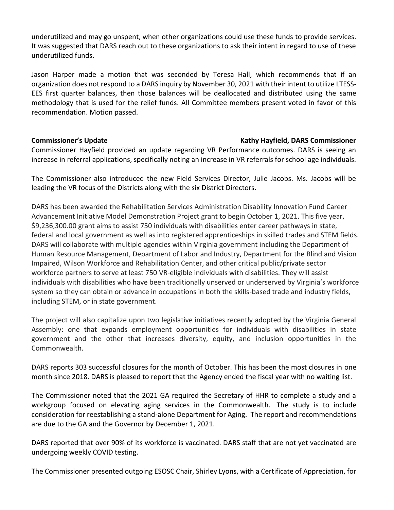underutilized and may go unspent, when other organizations could use these funds to provide services. It was suggested that DARS reach out to these organizations to ask their intent in regard to use of these underutilized funds.

Jason Harper made a motion that was seconded by Teresa Hall, which recommends that if an organization does not respond to a DARS inquiry by November 30, 2021 with their intent to utilize LTESS-EES first quarter balances, then those balances will be deallocated and distributed using the same methodology that is used for the relief funds. All Committee members present voted in favor of this recommendation. Motion passed.

### **Commissioner's Update Kathy Hayfield, DARS Commissioner**

Commissioner Hayfield provided an update regarding VR Performance outcomes. DARS is seeing an increase in referral applications, specifically noting an increase in VR referrals for school age individuals.

The Commissioner also introduced the new Field Services Director, Julie Jacobs. Ms. Jacobs will be leading the VR focus of the Districts along with the six District Directors.

DARS has been awarded the Rehabilitation Services Administration Disability Innovation Fund Career Advancement Initiative Model Demonstration Project grant to begin October 1, 2021. This five year, \$9,236,300.00 grant aims to assist 750 individuals with disabilities enter career pathways in state, federal and local government as well as into registered apprenticeships in skilled trades and STEM fields. DARS will collaborate with multiple agencies within Virginia government including the Department of Human Resource Management, Department of Labor and Industry, Department for the Blind and Vision Impaired, Wilson Workforce and Rehabilitation Center, and other critical public/private sector workforce partners to serve at least 750 VR-eligible individuals with disabilities. They will assist individuals with disabilities who have been traditionally unserved or underserved by Virginia's workforce system so they can obtain or advance in occupations in both the skills-based trade and industry fields, including STEM, or in state government.

The project will also capitalize upon two legislative initiatives recently adopted by the Virginia General Assembly: one that expands employment opportunities for individuals with disabilities in state government and the other that increases diversity, equity, and inclusion opportunities in the Commonwealth.

DARS reports 303 successful closures for the month of October. This has been the most closures in one month since 2018. DARS is pleased to report that the Agency ended the fiscal year with no waiting list.

The Commissioner noted that the 2021 GA required the Secretary of HHR to complete a study and a workgroup focused on elevating aging services in the Commonwealth. The study is to include consideration for reestablishing a stand-alone Department for Aging. The report and recommendations are due to the GA and the Governor by December 1, 2021.

DARS reported that over 90% of its workforce is vaccinated. DARS staff that are not yet vaccinated are undergoing weekly COVID testing.

The Commissioner presented outgoing ESOSC Chair, Shirley Lyons, with a Certificate of Appreciation, for